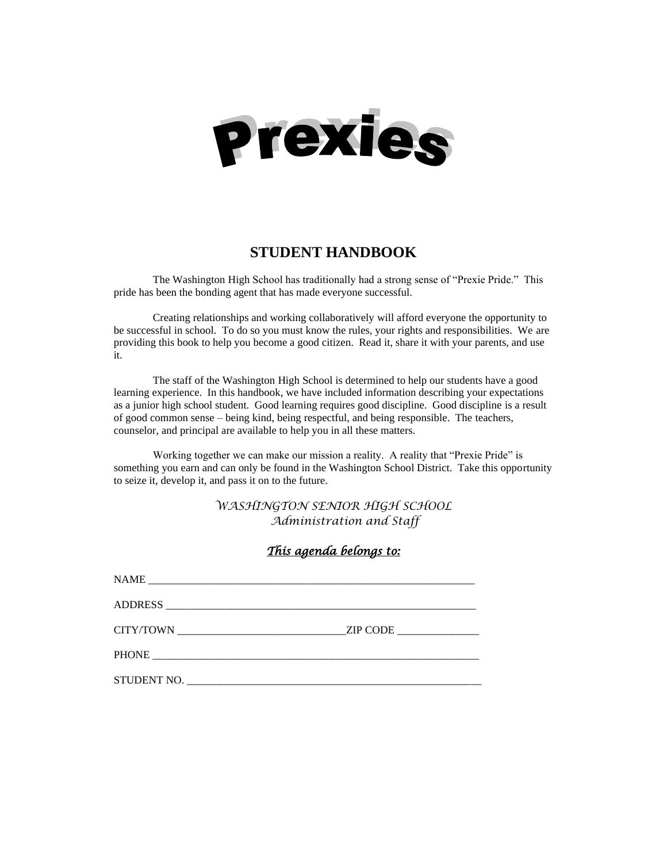

# **STUDENT HANDBOOK**

The Washington High School has traditionally had a strong sense of "Prexie Pride." This pride has been the bonding agent that has made everyone successful.

Creating relationships and working collaboratively will afford everyone the opportunity to be successful in school. To do so you must know the rules, your rights and responsibilities. We are providing this book to help you become a good citizen. Read it, share it with your parents, and use it.

The staff of the Washington High School is determined to help our students have a good learning experience. In this handbook, we have included information describing your expectations as a junior high school student. Good learning requires good discipline. Good discipline is a result of good common sense – being kind, being respectful, and being responsible. The teachers, counselor, and principal are available to help you in all these matters.

Working together we can make our mission a reality. A reality that "Prexie Pride" is something you earn and can only be found in the Washington School District. Take this opportunity to seize it, develop it, and pass it on to the future.

> *WASHINGTON SENIOR HIGH SCHOOL Administration and Staff*

| <u>This agenda belongs to:</u> |  |
|--------------------------------|--|
|                                |  |
|                                |  |
|                                |  |
|                                |  |
|                                |  |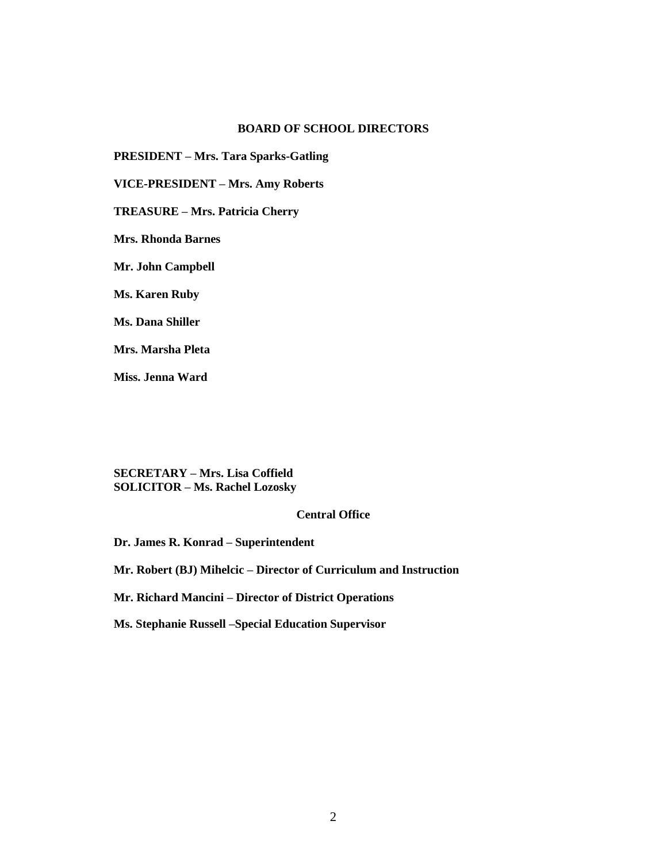# **BOARD OF SCHOOL DIRECTORS**

**PRESIDENT – Mrs. Tara Sparks-Gatling**

**VICE-PRESIDENT – Mrs. Amy Roberts**

**TREASURE – Mrs. Patricia Cherry**

**Mrs. Rhonda Barnes**

**Mr. John Campbell**

**Ms. Karen Ruby**

**Ms. Dana Shiller**

**Mrs. Marsha Pleta**

**Miss. Jenna Ward**

**SECRETARY – Mrs. Lisa Coffield SOLICITOR – Ms. Rachel Lozosky**

# **Central Office**

**Dr. James R. Konrad – Superintendent**

**Mr. Robert (BJ) Mihelcic – Director of Curriculum and Instruction**

**Mr. Richard Mancini – Director of District Operations**

**Ms. Stephanie Russell –Special Education Supervisor**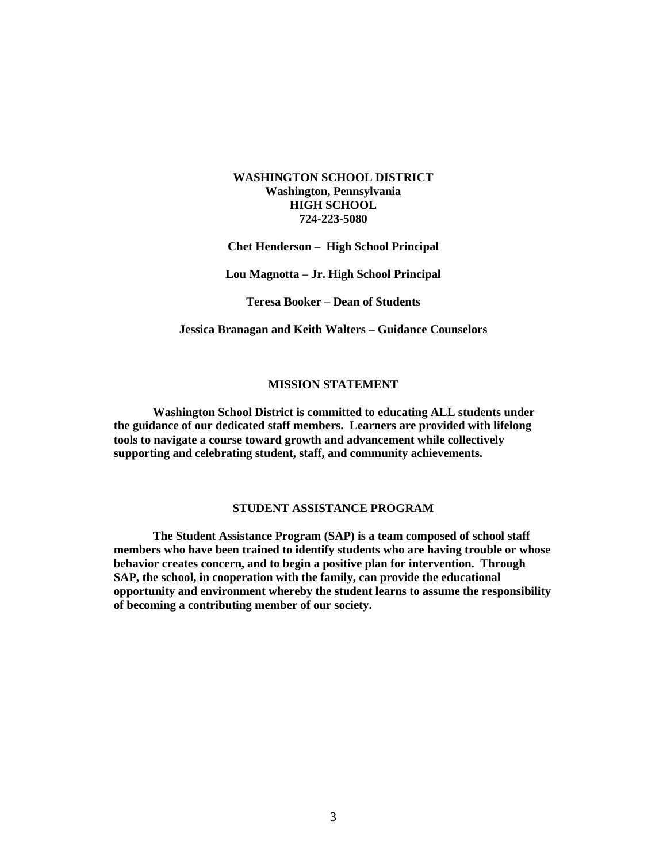# **WASHINGTON SCHOOL DISTRICT Washington, Pennsylvania HIGH SCHOOL 724-223-5080**

**Chet Henderson – High School Principal**

**Lou Magnotta – Jr. High School Principal**

**Teresa Booker – Dean of Students**

**Jessica Branagan and Keith Walters – Guidance Counselors**

# **MISSION STATEMENT**

**Washington School District is committed to educating ALL students under the guidance of our dedicated staff members. Learners are provided with lifelong tools to navigate a course toward growth and advancement while collectively supporting and celebrating student, staff, and community achievements.**

#### **STUDENT ASSISTANCE PROGRAM**

**The Student Assistance Program (SAP) is a team composed of school staff members who have been trained to identify students who are having trouble or whose behavior creates concern, and to begin a positive plan for intervention. Through SAP, the school, in cooperation with the family, can provide the educational opportunity and environment whereby the student learns to assume the responsibility of becoming a contributing member of our society.**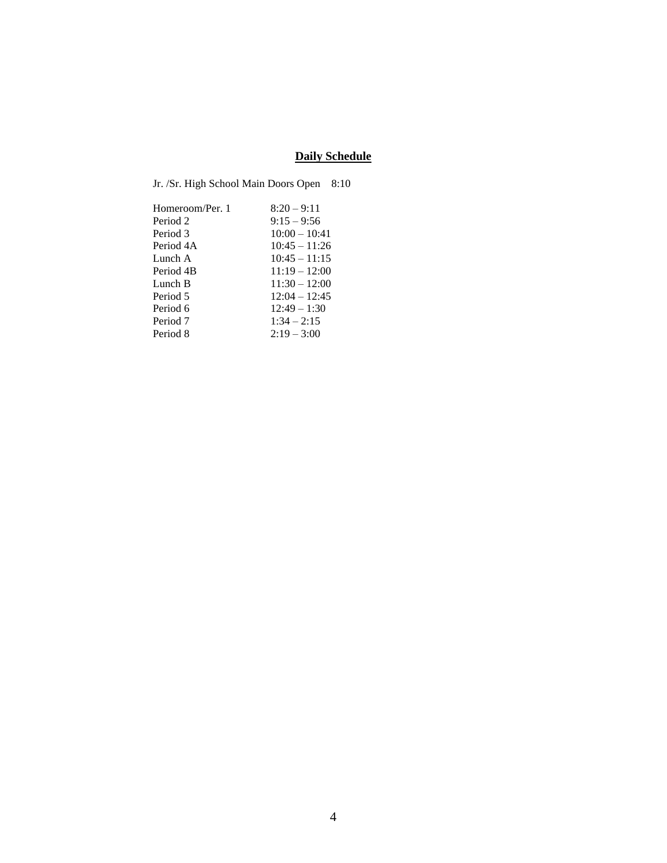# **Daily Schedule**

| Jr. /Sr. High School Main Doors Open | 8:10            |
|--------------------------------------|-----------------|
| Homeroom/Per. 1                      | $8:20 - 9:11$   |
| Period 2                             | $9:15 - 9:56$   |
| Period 3                             | $10:00 - 10:41$ |
| Period 4A                            | $10:45 - 11:26$ |
| Lunch A                              | $10:45 - 11:15$ |
| Period 4B                            | $11:19 - 12:00$ |
| Lunch B                              | $11:30 - 12:00$ |
| Period 5                             | $12:04 - 12:45$ |
| Period 6                             | $12:49 - 1:30$  |
| Period 7                             | $1:34 - 2:15$   |
| Period 8                             | $2:19 - 3:00$   |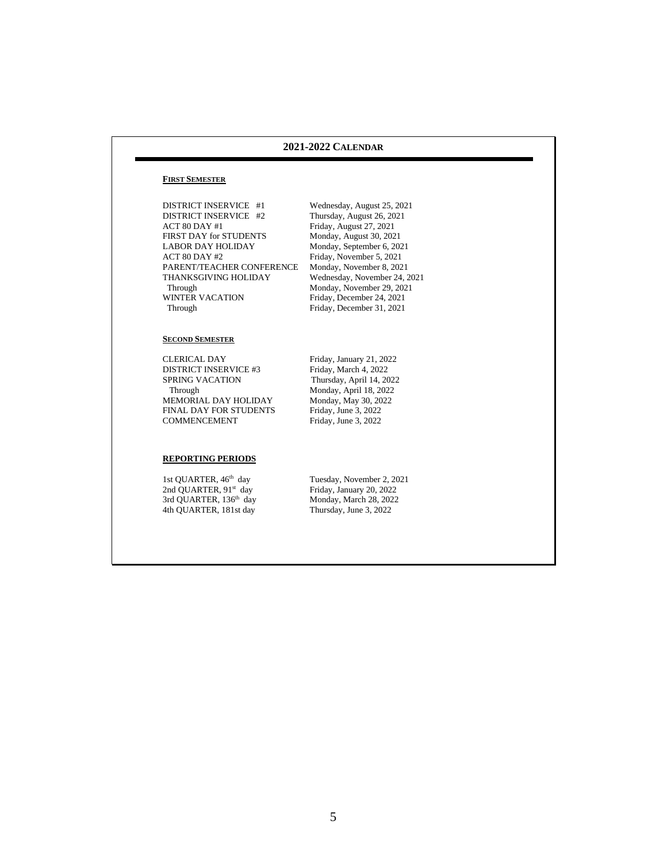#### **2021-2022 CALENDAR**

#### **FIRST SEMESTER**

DISTRICT INSERVICE #1 Wednesday, August 25, 2021<br>DISTRICT INSERVICE #2 Thursday, August 26, 2021 ACT 80 DAY #1 Friday, August 27, 2021<br>FIRST DAY for STUDENTS Monday, August 30, 2021 FIRST DAY for STUDENTS<br>LABOR DAY HOLIDAY LABOR DAY HOLIDAY Monday, September 6, 2021<br>ACT 80 DAY #2 Friday. November 5, 2021 PARENT/TEACHER CONFERENCE THANKSGIVING HOLIDAY THANKSGIVING HOLIDAY Wednesday, November 24, 2021<br>Through Monday, November 29, 2021 Through Monday, November 29, 2021<br>WINTER VACATION Friday, December 24, 2021 WINTER VACATION Friday, December 24, 2021<br>Through Friday, December 31, 2021

Thursday, August 26, 2021 Friday, November 5, 2021<br>Monday, November 8, 2021 Friday, December 31, 2021

#### **SECOND SEMESTER**

CLERICAL DAY Friday, January 21, 2022<br>DISTRICT INSERVICE #3 Friday, March 4, 2022 DISTRICT INSERVICE #3 SPRING VACATION Thursday, April 14, 2022 Through Monday, April 18, 2022<br>IEMORIAL DAY HOLIDAY Monday, May 30, 2022 MEMORIAL DAY HOLIDAY Monday, May 30, 20<br>FINAL DAY FOR STUDENTS Friday, June 3, 2022 FINAL DAY FOR STUDENTS COMMENCEMENT

Friday, June 3, 2022

#### **REPORTING PERIODS**

1st QUARTER, 46<sup>th</sup> day 2nd QUARTER, 91 3rd QUARTER, 136 4th QUARTER, 181st day Tuesday, November 2, 2021 Friday, January 20, 2022 Monday, March 28, 2022<br>Thursday, June 3, 2022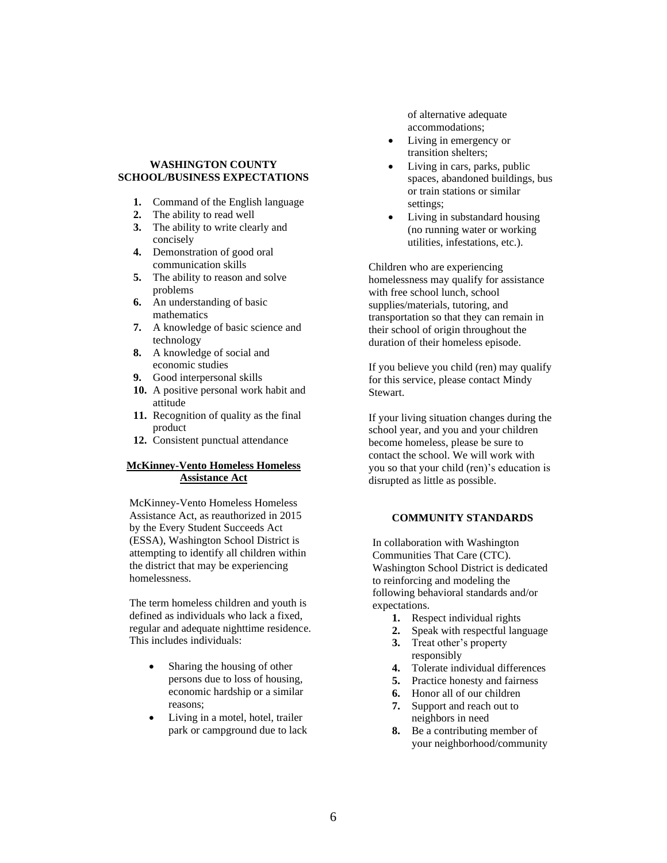#### **WASHINGTON COUNTY SCHOOL/BUSINESS EXPECTATIONS**

- **1.** Command of the English language
- **2.** The ability to read well
- **3.** The ability to write clearly and concisely
- **4.** Demonstration of good oral communication skills
- **5.** The ability to reason and solve problems
- **6.** An understanding of basic mathematics
- **7.** A knowledge of basic science and technology
- **8.** A knowledge of social and economic studies
- **9.** Good interpersonal skills
- **10.** A positive personal work habit and attitude
- **11.** Recognition of quality as the final product
- **12.** Consistent punctual attendance

### **McKinney-Vento Homeless Homeless Assistance Act**

McKinney-Vento Homeless Homeless Assistance Act, as reauthorized in 2015 by the Every Student Succeeds Act (ESSA), Washington School District is attempting to identify all children within the district that may be experiencing homelessness.

The term homeless children and youth is defined as individuals who lack a fixed, regular and adequate nighttime residence. This includes individuals:

- Sharing the housing of other persons due to loss of housing, economic hardship or a similar reasons;
- Living in a motel, hotel, trailer park or campground due to lack

of alternative adequate accommodations;

- Living in emergency or transition shelters;
- Living in cars, parks, public spaces, abandoned buildings, bus or train stations or similar settings;
- Living in substandard housing (no running water or working utilities, infestations, etc.).

Children who are experiencing homelessness may qualify for assistance with free school lunch, school supplies/materials, tutoring, and transportation so that they can remain in their school of origin throughout the duration of their homeless episode.

If you believe you child (ren) may qualify for this service, please contact Mindy Stewart.

If your living situation changes during the school year, and you and your children become homeless, please be sure to contact the school. We will work with you so that your child (ren)'s education is disrupted as little as possible.

#### **COMMUNITY STANDARDS**

In collaboration with Washington Communities That Care (CTC). Washington School District is dedicated to reinforcing and modeling the following behavioral standards and/or expectations.

- **1.** Respect individual rights
- **2.** Speak with respectful language
- **3.** Treat other's property responsibly
- **4.** Tolerate individual differences
- **5.** Practice honesty and fairness
- **6.** Honor all of our children
- **7.** Support and reach out to neighbors in need
- **8.** Be a contributing member of your neighborhood/community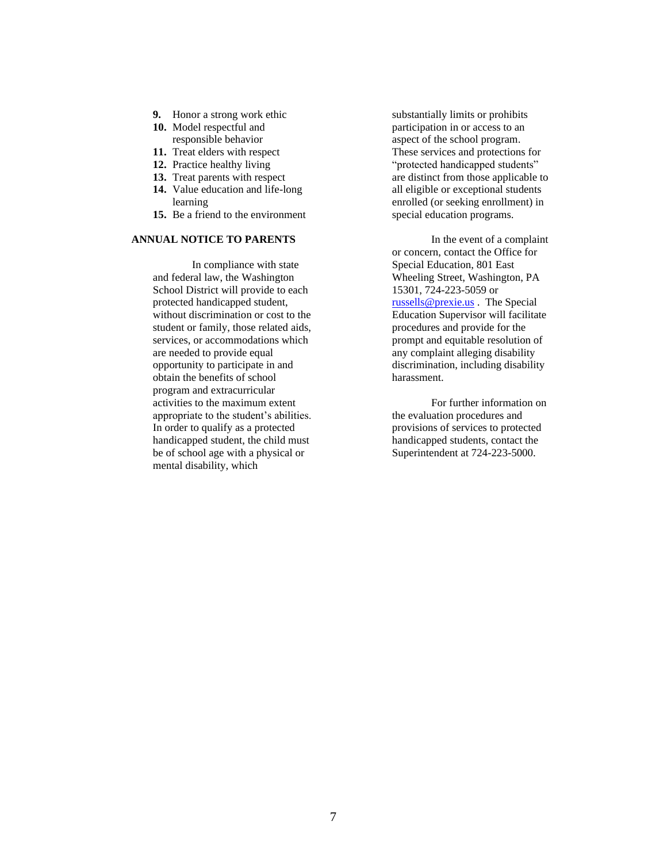- **9.** Honor a strong work ethic
- **10.** Model respectful and responsible behavior
- **11.** Treat elders with respect
- **12.** Practice healthy living
- **13.** Treat parents with respect
- **14.** Value education and life-long learning
- **15.** Be a friend to the environment

# **ANNUAL NOTICE TO PARENTS**

In compliance with state and federal law, the Washington School District will provide to each protected handicapped student, without discrimination or cost to the student or family, those related aids, services, or accommodations which are needed to provide equal opportunity to participate in and obtain the benefits of school program and extracurricular activities to the maximum extent appropriate to the student's abilities. In order to qualify as a protected handicapped student, the child must be of school age with a physical or mental disability, which

substantially limits or prohibits participation in or access to an aspect of the school program. These services and protections for "protected handicapped students" are distinct from those applicable to all eligible or exceptional students enrolled (or seeking enrollment) in special education programs.

In the event of a complaint or concern, contact the Office for Special Education, 801 East Wheeling Street, Washington, PA 15301, 724-223-5059 or [russells@prexie.us](mailto:russells@prexie.us) . The Special Education Supervisor will facilitate procedures and provide for the prompt and equitable resolution of any complaint alleging disability discrimination, including disability harassment.

For further information on the evaluation procedures and provisions of services to protected handicapped students, contact the Superintendent at 724-223-5000.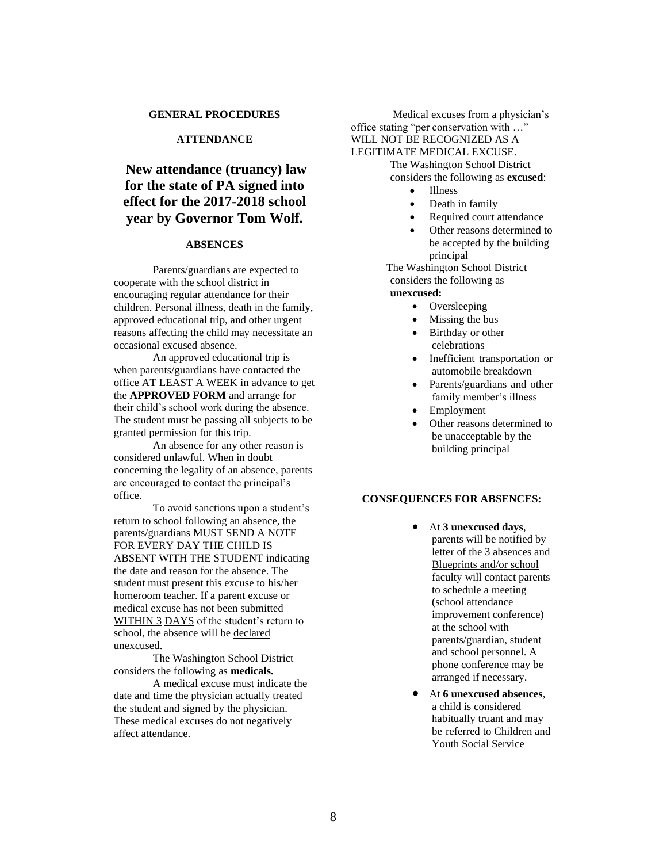#### **GENERAL PROCEDURES**

# **ATTENDANCE**

# **New attendance (truancy) law for the state of PA signed into effect for the 2017-2018 school year by Governor Tom Wolf.**

#### **ABSENCES**

Parents/guardians are expected to cooperate with the school district in encouraging regular attendance for their children. Personal illness, death in the family, approved educational trip, and other urgent reasons affecting the child may necessitate an occasional excused absence.

An approved educational trip is when parents/guardians have contacted the office AT LEAST A WEEK in advance to get the **APPROVED FORM** and arrange for their child's school work during the absence. The student must be passing all subjects to be granted permission for this trip.

An absence for any other reason is considered unlawful. When in doubt concerning the legality of an absence, parents are encouraged to contact the principal's office.

To avoid sanctions upon a student's return to school following an absence, the parents/guardians MUST SEND A NOTE FOR EVERY DAY THE CHILD IS ABSENT WITH THE STUDENT indicating the date and reason for the absence. The student must present this excuse to his/her homeroom teacher. If a parent excuse or medical excuse has not been submitted WITHIN 3 DAYS of the student's return to school, the absence will be declared unexcused.

The Washington School District considers the following as **medicals.**

A medical excuse must indicate the date and time the physician actually treated the student and signed by the physician. These medical excuses do not negatively affect attendance.

Medical excuses from a physician's office stating "per conservation with …" WILL NOT BE RECOGNIZED AS A LEGITIMATE MEDICAL EXCUSE. The Washington School District

considers the following as **excused**:

- Illness
- Death in family
- Required court attendance
- Other reasons determined to be accepted by the building principal

 The Washington School District considers the following as **unexcused:**

- Oversleeping
- Missing the bus
- Birthday or other celebrations
- Inefficient transportation or automobile breakdown
- Parents/guardians and other family member's illness
- **Employment**
- Other reasons determined to be unacceptable by the building principal

#### **CONSEQUENCES FOR ABSENCES:**

- At **3 unexcused days**, parents will be notified by letter of the 3 absences and Blueprints and/or school faculty will contact parents to schedule a meeting (school attendance improvement conference) at the school with parents/guardian, student and school personnel. A phone conference may be arranged if necessary.
- At **6 unexcused absences**, a child is considered habitually truant and may be referred to Children and Youth Social Service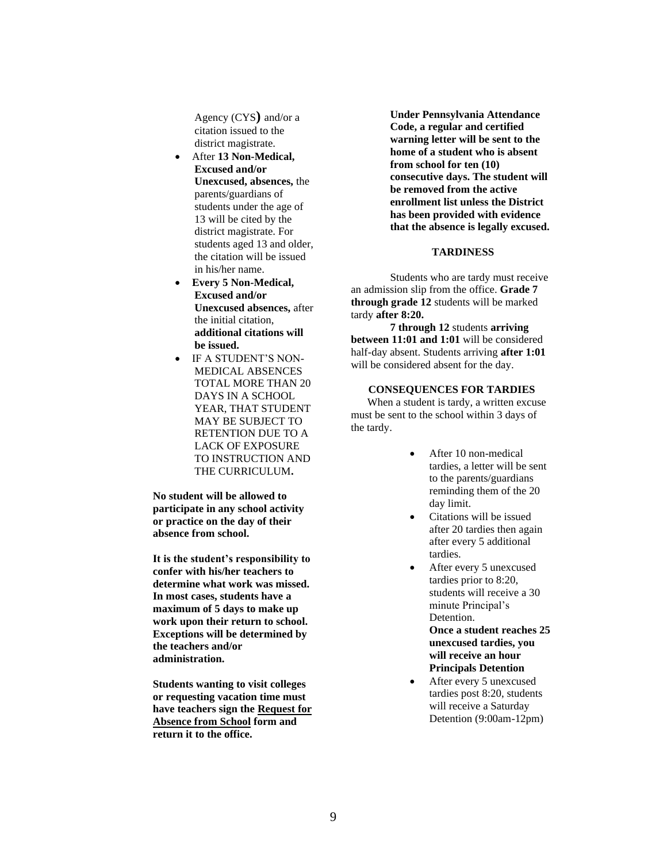Agency (CYS**)** and/or a citation issued to the district magistrate.

- After **13 Non-Medical, Excused and/or Unexcused, absences,** the parents/guardians of students under the age of 13 will be cited by the district magistrate. For students aged 13 and older, the citation will be issued in his/her name.
- **Every 5 Non-Medical, Excused and/or Unexcused absences,** after the initial citation, **additional citations will be issued.**
- IF A STUDENT'S NON-MEDICAL ABSENCES TOTAL MORE THAN 20 DAYS IN A SCHOOL YEAR, THAT STUDENT MAY BE SUBJECT TO RETENTION DUE TO A LACK OF EXPOSURE TO INSTRUCTION AND THE CURRICULUM**.**

**No student will be allowed to participate in any school activity or practice on the day of their absence from school.**

**It is the student's responsibility to confer with his/her teachers to determine what work was missed. In most cases, students have a maximum of 5 days to make up work upon their return to school. Exceptions will be determined by the teachers and/or administration.**

**Students wanting to visit colleges or requesting vacation time must have teachers sign the Request for Absence from School form and return it to the office.** 

**Under Pennsylvania Attendance Code, a regular and certified warning letter will be sent to the home of a student who is absent from school for ten (10) consecutive days. The student will be removed from the active enrollment list unless the District has been provided with evidence that the absence is legally excused.**

#### **TARDINESS**

Students who are tardy must receive an admission slip from the office. **Grade 7 through grade 12** students will be marked tardy **after 8:20.**

**7 through 12** students **arriving between 11:01 and 1:01** will be considered half-day absent. Students arriving **after 1:01** will be considered absent for the day.

**CONSEQUENCES FOR TARDIES**

 When a student is tardy, a written excuse must be sent to the school within 3 days of the tardy.

- After 10 non-medical tardies, a letter will be sent to the parents/guardians reminding them of the 20 day limit.
- Citations will be issued after 20 tardies then again after every 5 additional tardies.
- After every 5 unexcused tardies prior to 8:20, students will receive a 30 minute Principal's Detention. **Once a student reaches 25 unexcused tardies, you will receive an hour Principals Detention**
- After every 5 unexcused tardies post 8:20, students will receive a Saturday Detention (9:00am-12pm)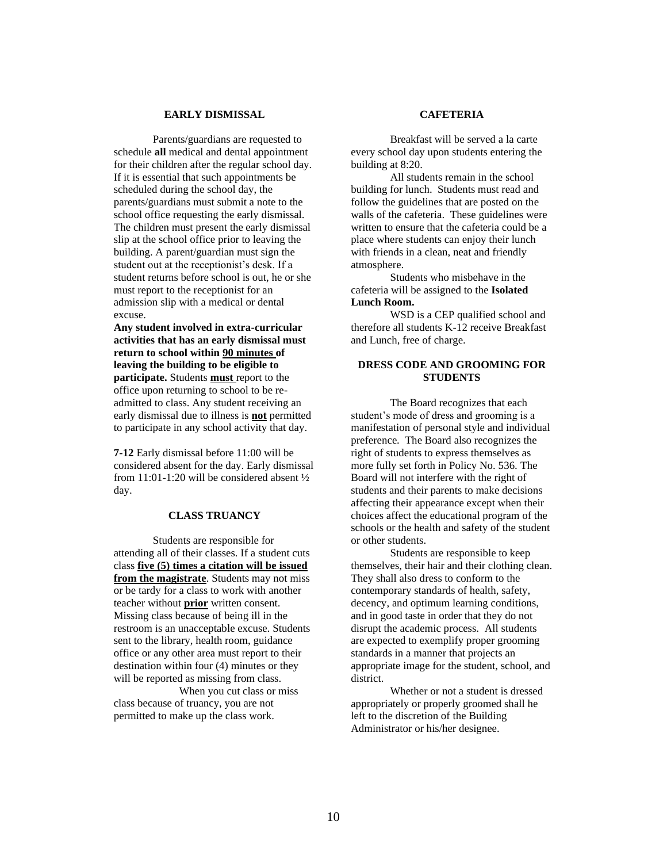#### **EARLY DISMISSAL**

Parents/guardians are requested to schedule **all** medical and dental appointment for their children after the regular school day. If it is essential that such appointments be scheduled during the school day, the parents/guardians must submit a note to the school office requesting the early dismissal. The children must present the early dismissal slip at the school office prior to leaving the building. A parent/guardian must sign the student out at the receptionist's desk. If a student returns before school is out, he or she must report to the receptionist for an admission slip with a medical or dental excuse.

**Any student involved in extra-curricular activities that has an early dismissal must return to school within 90 minutes of leaving the building to be eligible to participate.** Students **must** report to the office upon returning to school to be readmitted to class. Any student receiving an early dismissal due to illness is **not** permitted to participate in any school activity that day.

**7-12** Early dismissal before 11:00 will be considered absent for the day. Early dismissal from 11:01-1:20 will be considered absent ½ day.

## **CLASS TRUANCY**

Students are responsible for attending all of their classes. If a student cuts class **five (5) times a citation will be issued from the magistrate**. Students may not miss or be tardy for a class to work with another teacher without **prior** written consent. Missing class because of being ill in the restroom is an unacceptable excuse. Students sent to the library, health room, guidance office or any other area must report to their destination within four (4) minutes or they will be reported as missing from class.

 When you cut class or miss class because of truancy, you are not permitted to make up the class work.

### **CAFETERIA**

Breakfast will be served a la carte every school day upon students entering the building at 8:20.

All students remain in the school building for lunch. Students must read and follow the guidelines that are posted on the walls of the cafeteria. These guidelines were written to ensure that the cafeteria could be a place where students can enjoy their lunch with friends in a clean, neat and friendly atmosphere.

Students who misbehave in the cafeteria will be assigned to the **Isolated Lunch Room.**

WSD is a CEP qualified school and therefore all students K-12 receive Breakfast and Lunch, free of charge.

#### **DRESS CODE AND GROOMING FOR STUDENTS**

The Board recognizes that each student's mode of dress and grooming is a manifestation of personal style and individual preference. The Board also recognizes the right of students to express themselves as more fully set forth in Policy No. 536. The Board will not interfere with the right of students and their parents to make decisions affecting their appearance except when their choices affect the educational program of the schools or the health and safety of the student or other students.

Students are responsible to keep themselves, their hair and their clothing clean. They shall also dress to conform to the contemporary standards of health, safety, decency, and optimum learning conditions, and in good taste in order that they do not disrupt the academic process. All students are expected to exemplify proper grooming standards in a manner that projects an appropriate image for the student, school, and district.

Whether or not a student is dressed appropriately or properly groomed shall he left to the discretion of the Building Administrator or his/her designee.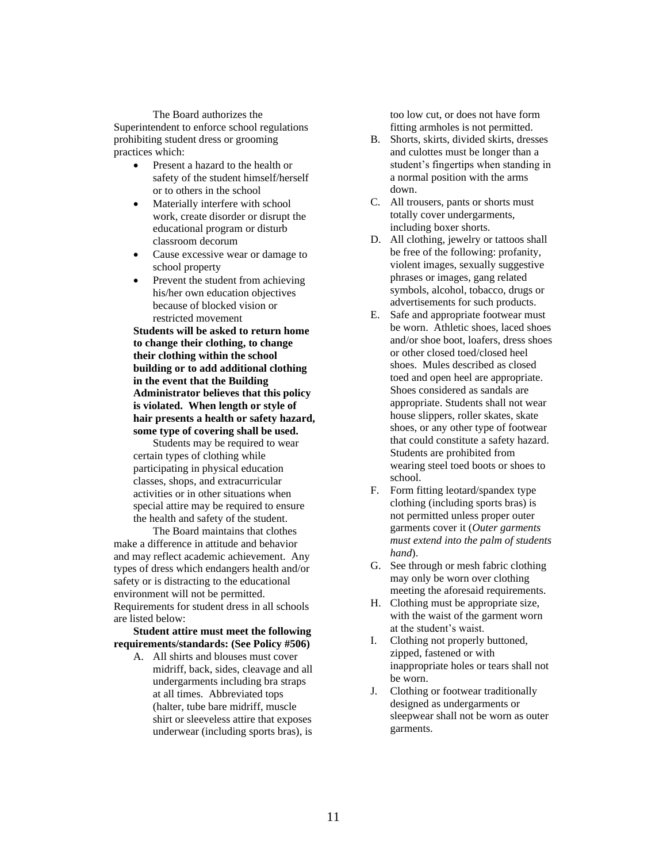The Board authorizes the Superintendent to enforce school regulations prohibiting student dress or grooming practices which:

- Present a hazard to the health or safety of the student himself/herself or to others in the school
- Materially interfere with school work, create disorder or disrupt the educational program or disturb classroom decorum
- Cause excessive wear or damage to school property
- Prevent the student from achieving his/her own education objectives because of blocked vision or restricted movement

**Students will be asked to return home to change their clothing, to change their clothing within the school building or to add additional clothing in the event that the Building Administrator believes that this policy is violated. When length or style of hair presents a health or safety hazard, some type of covering shall be used.**

Students may be required to wear certain types of clothing while participating in physical education classes, shops, and extracurricular activities or in other situations when special attire may be required to ensure the health and safety of the student.

The Board maintains that clothes make a difference in attitude and behavior and may reflect academic achievement. Any types of dress which endangers health and/or safety or is distracting to the educational environment will not be permitted. Requirements for student dress in all schools are listed below:

**Student attire must meet the following requirements/standards: (See Policy #506)**

A. All shirts and blouses must cover midriff, back, sides, cleavage and all undergarments including bra straps at all times. Abbreviated tops (halter, tube bare midriff, muscle shirt or sleeveless attire that exposes underwear (including sports bras), is

too low cut, or does not have form fitting armholes is not permitted.

- B. Shorts, skirts, divided skirts, dresses and culottes must be longer than a student's fingertips when standing in a normal position with the arms down.
- C. All trousers, pants or shorts must totally cover undergarments, including boxer shorts.
- D. All clothing, jewelry or tattoos shall be free of the following: profanity, violent images, sexually suggestive phrases or images, gang related symbols, alcohol, tobacco, drugs or advertisements for such products.
- E. Safe and appropriate footwear must be worn. Athletic shoes, laced shoes and/or shoe boot, loafers, dress shoes or other closed toed/closed heel shoes. Mules described as closed toed and open heel are appropriate. Shoes considered as sandals are appropriate. Students shall not wear house slippers, roller skates, skate shoes, or any other type of footwear that could constitute a safety hazard. Students are prohibited from wearing steel toed boots or shoes to school.
- F. Form fitting leotard/spandex type clothing (including sports bras) is not permitted unless proper outer garments cover it (*Outer garments must extend into the palm of students hand*).
- G. See through or mesh fabric clothing may only be worn over clothing meeting the aforesaid requirements.
- H. Clothing must be appropriate size, with the waist of the garment worn at the student's waist.
- I. Clothing not properly buttoned, zipped, fastened or with inappropriate holes or tears shall not be worn.
- J. Clothing or footwear traditionally designed as undergarments or sleepwear shall not be worn as outer garments.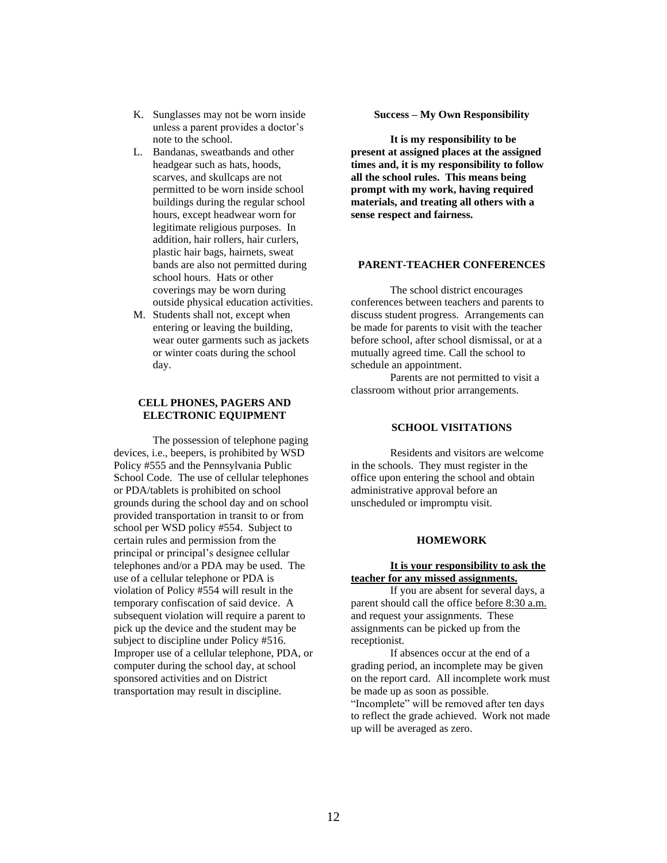- K. Sunglasses may not be worn inside unless a parent provides a doctor's note to the school.
- L. Bandanas, sweatbands and other headgear such as hats, hoods, scarves, and skullcaps are not permitted to be worn inside school buildings during the regular school hours, except headwear worn for legitimate religious purposes. In addition, hair rollers, hair curlers, plastic hair bags, hairnets, sweat bands are also not permitted during school hours. Hats or other coverings may be worn during outside physical education activities.
- M. Students shall not, except when entering or leaving the building, wear outer garments such as jackets or winter coats during the school day.

## **CELL PHONES, PAGERS AND ELECTRONIC EQUIPMENT**

The possession of telephone paging devices, i.e., beepers, is prohibited by WSD Policy #555 and the Pennsylvania Public School Code*.* The use of cellular telephones or PDA/tablets is prohibited on school grounds during the school day and on school provided transportation in transit to or from school per WSD policy #554. Subject to certain rules and permission from the principal or principal's designee cellular telephones and/or a PDA may be used. The use of a cellular telephone or PDA is violation of Policy #554 will result in the temporary confiscation of said device. A subsequent violation will require a parent to pick up the device and the student may be subject to discipline under Policy #516. Improper use of a cellular telephone, PDA, or computer during the school day, at school sponsored activities and on District transportation may result in discipline.

#### **Success – My Own Responsibility**

**It is my responsibility to be present at assigned places at the assigned times and, it is my responsibility to follow all the school rules. This means being prompt with my work, having required materials, and treating all others with a sense respect and fairness.** 

#### **PARENT-TEACHER CONFERENCES**

The school district encourages conferences between teachers and parents to discuss student progress. Arrangements can be made for parents to visit with the teacher before school, after school dismissal, or at a mutually agreed time. Call the school to schedule an appointment.

Parents are not permitted to visit a classroom without prior arrangements.

#### **SCHOOL VISITATIONS**

Residents and visitors are welcome in the schools. They must register in the office upon entering the school and obtain administrative approval before an unscheduled or impromptu visit.

#### **HOMEWORK**

#### **It is your responsibility to ask the teacher for any missed assignments.**

If you are absent for several days, a parent should call the office before 8:30 a.m. and request your assignments. These assignments can be picked up from the receptionist.

If absences occur at the end of a grading period, an incomplete may be given on the report card. All incomplete work must be made up as soon as possible. "Incomplete" will be removed after ten days to reflect the grade achieved. Work not made up will be averaged as zero.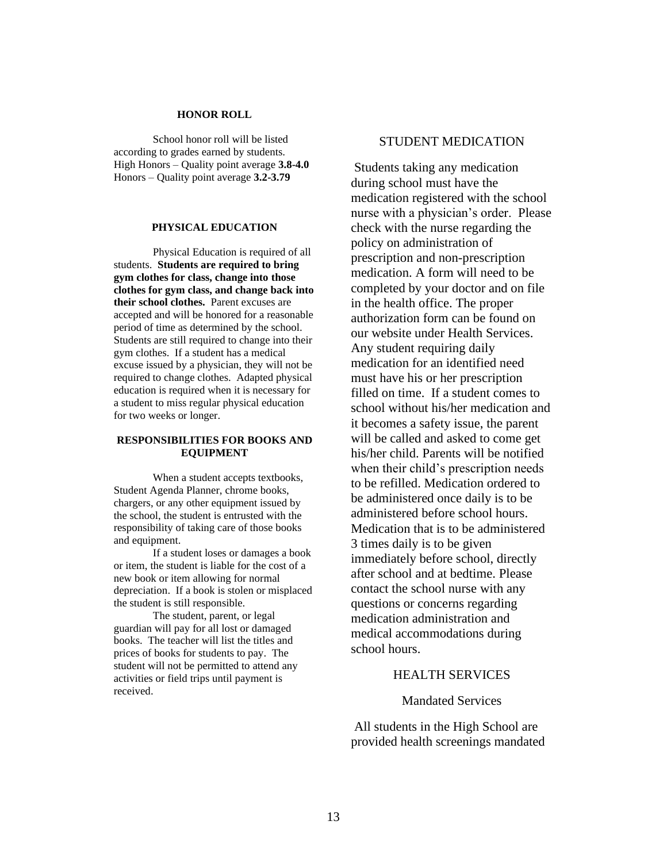#### **HONOR ROLL**

School honor roll will be listed according to grades earned by students. High Honors – Quality point average **3.8-4.0** Honors – Quality point average **3.2-3.79**

#### **PHYSICAL EDUCATION**

Physical Education is required of all students. **Students are required to bring gym clothes for class, change into those clothes for gym class, and change back into their school clothes.** Parent excuses are accepted and will be honored for a reasonable period of time as determined by the school. Students are still required to change into their gym clothes. If a student has a medical excuse issued by a physician, they will not be required to change clothes. Adapted physical education is required when it is necessary for a student to miss regular physical education for two weeks or longer.

#### **RESPONSIBILITIES FOR BOOKS AND EQUIPMENT**

When a student accepts textbooks, Student Agenda Planner, chrome books, chargers, or any other equipment issued by the school, the student is entrusted with the responsibility of taking care of those books and equipment.

If a student loses or damages a book or item, the student is liable for the cost of a new book or item allowing for normal depreciation. If a book is stolen or misplaced the student is still responsible.

The student, parent, or legal guardian will pay for all lost or damaged books. The teacher will list the titles and prices of books for students to pay. The student will not be permitted to attend any activities or field trips until payment is received.

# STUDENT MEDICATION

Students taking any medication during school must have the medication registered with the school nurse with a physician's order. Please check with the nurse regarding the policy on administration of prescription and non-prescription medication. A form will need to be completed by your doctor and on file in the health office. The proper authorization form can be found on our website under Health Services. Any student requiring daily medication for an identified need must have his or her prescription filled on time. If a student comes to school without his/her medication and it becomes a safety issue, the parent will be called and asked to come get his/her child. Parents will be notified when their child's prescription needs to be refilled. Medication ordered to be administered once daily is to be administered before school hours. Medication that is to be administered 3 times daily is to be given immediately before school, directly after school and at bedtime. Please contact the school nurse with any questions or concerns regarding medication administration and medical accommodations during school hours.

# HEALTH SERVICES

# Mandated Services

All students in the High School are provided health screenings mandated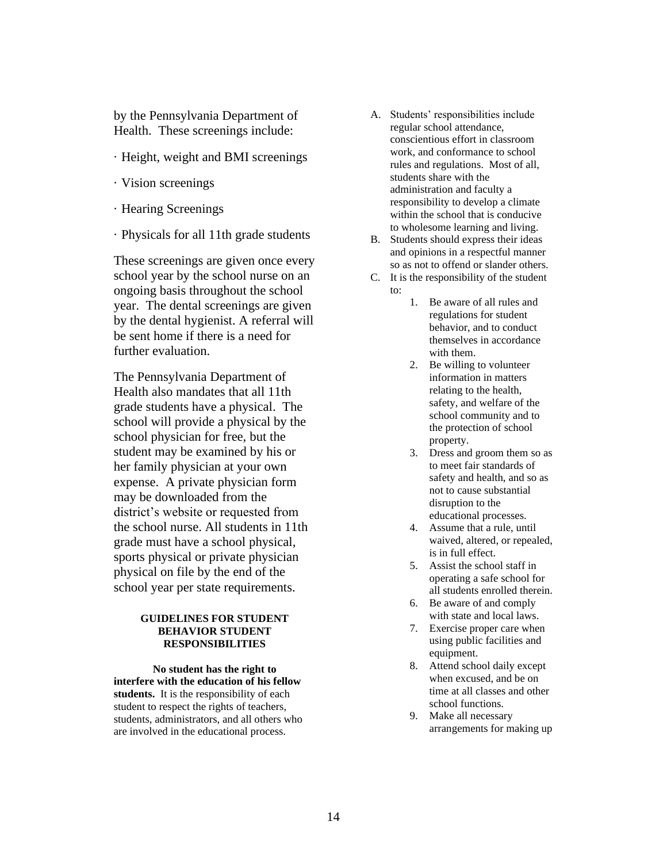by the Pennsylvania Department of Health. These screenings include:

- · Height, weight and BMI screenings
- · Vision screenings
- · Hearing Screenings
- · Physicals for all 11th grade students

These screenings are given once every school year by the school nurse on an ongoing basis throughout the school year. The dental screenings are given by the dental hygienist. A referral will be sent home if there is a need for further evaluation.

The Pennsylvania Department of Health also mandates that all 11th grade students have a physical. The school will provide a physical by the school physician for free, but the student may be examined by his or her family physician at your own expense. A private physician form may be downloaded from the district's website or requested from the school nurse. All students in 11th grade must have a school physical, sports physical or private physician physical on file by the end of the school year per state requirements.

#### **GUIDELINES FOR STUDENT BEHAVIOR STUDENT RESPONSIBILITIES**

**No student has the right to interfere with the education of his fellow**  students. It is the responsibility of each student to respect the rights of teachers, students, administrators, and all others who are involved in the educational process.

- A. Students' responsibilities include regular school attendance, conscientious effort in classroom work, and conformance to school rules and regulations. Most of all, students share with the administration and faculty a responsibility to develop a climate within the school that is conducive to wholesome learning and living.
- B. Students should express their ideas and opinions in a respectful manner so as not to offend or slander others.
- C. It is the responsibility of the student to:
	- 1. Be aware of all rules and regulations for student behavior, and to conduct themselves in accordance with them.
	- 2. Be willing to volunteer information in matters relating to the health, safety, and welfare of the school community and to the protection of school property.
	- 3. Dress and groom them so as to meet fair standards of safety and health, and so as not to cause substantial disruption to the educational processes.
	- 4. Assume that a rule, until waived, altered, or repealed, is in full effect.
	- 5. Assist the school staff in operating a safe school for all students enrolled therein.
	- 6. Be aware of and comply with state and local laws.
	- 7. Exercise proper care when using public facilities and equipment.
	- 8. Attend school daily except when excused, and be on time at all classes and other school functions.
	- 9. Make all necessary arrangements for making up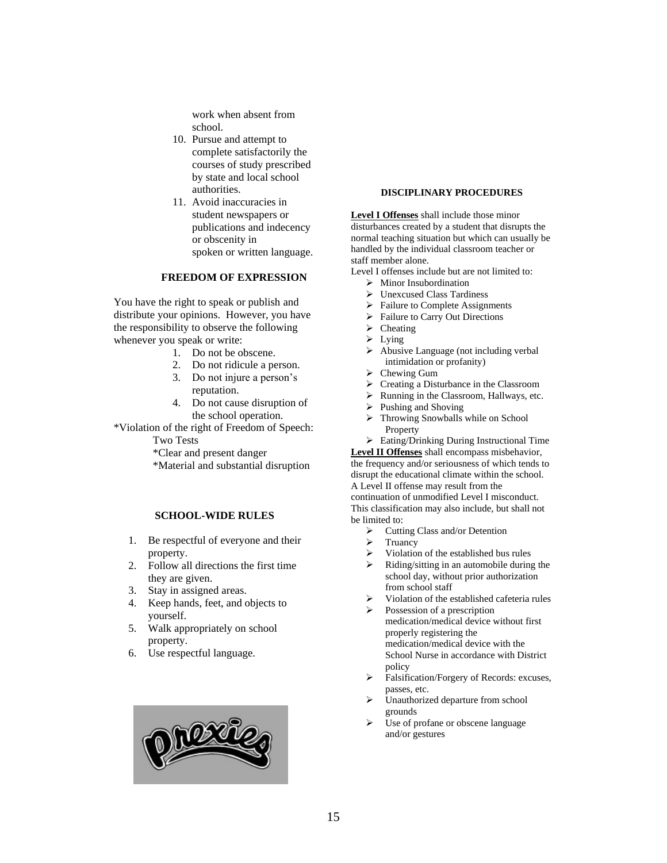work when absent from school.

- 10. Pursue and attempt to complete satisfactorily the courses of study prescribed by state and local school authorities.
- 11. Avoid inaccuracies in student newspapers or publications and indecency or obscenity in spoken or written language.

#### **FREEDOM OF EXPRESSION**

You have the right to speak or publish and distribute your opinions. However, you have the responsibility to observe the following whenever you speak or write:

- 1. Do not be obscene.
- 2. Do not ridicule a person.
- 3. Do not injure a person's reputation.
- 4. Do not cause disruption of the school operation.

\*Violation of the right of Freedom of Speech: Two Tests

\*Clear and present danger

\*Material and substantial disruption

#### **SCHOOL-WIDE RULES**

- 1. Be respectful of everyone and their property.
- 2. Follow all directions the first time they are given.
- 3. Stay in assigned areas.
- 4. Keep hands, feet, and objects to yourself.
- 5. Walk appropriately on school property.
- 6. Use respectful language.



#### **DISCIPLINARY PROCEDURES**

**Level I Offenses** shall include those minor disturbances created by a student that disrupts the normal teaching situation but which can usually be handled by the individual classroom teacher or staff member alone.

Level I offenses include but are not limited to:

- $\triangleright$  Minor Insubordination
- ➢ Unexcused Class Tardiness
- ➢ Failure to Complete Assignments
- ➢ Failure to Carry Out Directions
- ➢ Cheating
- ➢ Lying
- ➢ Abusive Language (not including verbal intimidation or profanity)
- ➢ Chewing Gum
- ➢ Creating a Disturbance in the Classroom
- ➢ Running in the Classroom, Hallways, etc.
- ➢ Pushing and Shoving
- ➢ Throwing Snowballs while on School Property

➢ Eating/Drinking During Instructional Time **Level II Offenses** shall encompass misbehavior, the frequency and/or seriousness of which tends to

disrupt the educational climate within the school. A Level II offense may result from the continuation of unmodified Level I misconduct. This classification may also include, but shall not be limited to:

- ➢ Cutting Class and/or Detention
- ➢ Truancy
- ➢ Violation of the established bus rules
- ➢ Riding/sitting in an automobile during the school day, without prior authorization from school staff
- ➢ Violation of the established cafeteria rules
- ➢ Possession of a prescription medication/medical device without first properly registering the medication/medical device with the School Nurse in accordance with District policy
- ➢ Falsification/Forgery of Records: excuses, passes, etc.
- Unauthorized departure from school grounds
- Use of profane or obscene language and/or gestures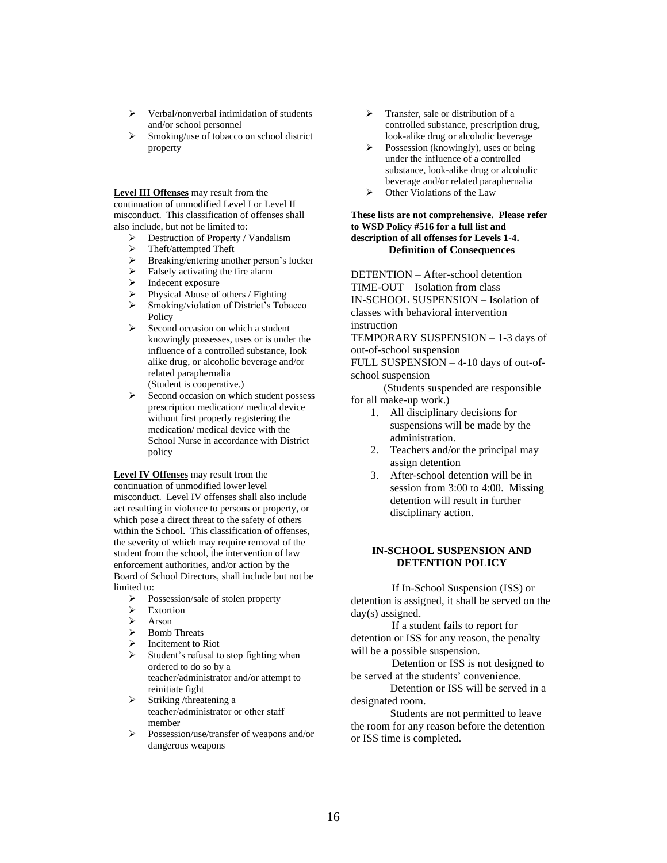- ➢ Verbal/nonverbal intimidation of students and/or school personnel
- ➢ Smoking/use of tobacco on school district property

**Level III Offenses** may result from the continuation of unmodified Level I or Level II misconduct. This classification of offenses shall also include, but not be limited to:

- ➢ Destruction of Property / Vandalism
- ➢ Theft/attempted Theft
- ➢ Breaking/entering another person's locker
- Falsely activating the fire alarm
- Indecent exposure
- ➢ Physical Abuse of others / Fighting
- ➢ Smoking/violation of District's Tobacco Policy
- Second occasion on which a student knowingly possesses, uses or is under the influence of a controlled substance, look alike drug, or alcoholic beverage and/or related paraphernalia (Student is cooperative.)
- ➢ Second occasion on which student possess prescription medication/ medical device without first properly registering the medication/ medical device with the School Nurse in accordance with District policy

**Level IV Offenses** may result from the continuation of unmodified lower level misconduct. Level IV offenses shall also include act resulting in violence to persons or property, or which pose a direct threat to the safety of others within the School. This classification of offenses, the severity of which may require removal of the student from the school, the intervention of law enforcement authorities, and/or action by the Board of School Directors, shall include but not be limited to:

- ➢ Possession/sale of stolen property
- ➢ Extortion
- ➢ Arson
- ➢ Bomb Threats
- ➢ Incitement to Riot
- ➢ Student's refusal to stop fighting when ordered to do so by a teacher/administrator and/or attempt to reinitiate fight
- $\triangleright$  Striking /threatening a teacher/administrator or other staff member
- ➢ Possession/use/transfer of weapons and/or dangerous weapons
- ➢ Transfer, sale or distribution of a controlled substance, prescription drug, look-alike drug or alcoholic beverage
- ➢ Possession (knowingly), uses or being under the influence of a controlled substance, look-alike drug or alcoholic beverage and/or related paraphernalia
- ➢ Other Violations of the Law

#### **These lists are not comprehensive. Please refer to WSD Policy #516 for a full list and description of all offenses for Levels 1-4. Definition of Consequences**

DETENTION – After-school detention TIME-OUT – Isolation from class IN-SCHOOL SUSPENSION – Isolation of classes with behavioral intervention instruction

TEMPORARY SUSPENSION – 1-3 days of out-of-school suspension

FULL SUSPENSION – 4-10 days of out-ofschool suspension

 (Students suspended are responsible for all make-up work.)

- 1. All disciplinary decisions for suspensions will be made by the administration.
- 2. Teachers and/or the principal may assign detention
- 3. After-school detention will be in session from 3:00 to 4:00. Missing detention will result in further disciplinary action.

### **IN-SCHOOL SUSPENSION AND DETENTION POLICY**

 If In-School Suspension (ISS) or detention is assigned, it shall be served on the day(s) assigned.

 If a student fails to report for detention or ISS for any reason, the penalty will be a possible suspension.

 Detention or ISS is not designed to be served at the students' convenience.

Detention or ISS will be served in a designated room.

Students are not permitted to leave the room for any reason before the detention or ISS time is completed.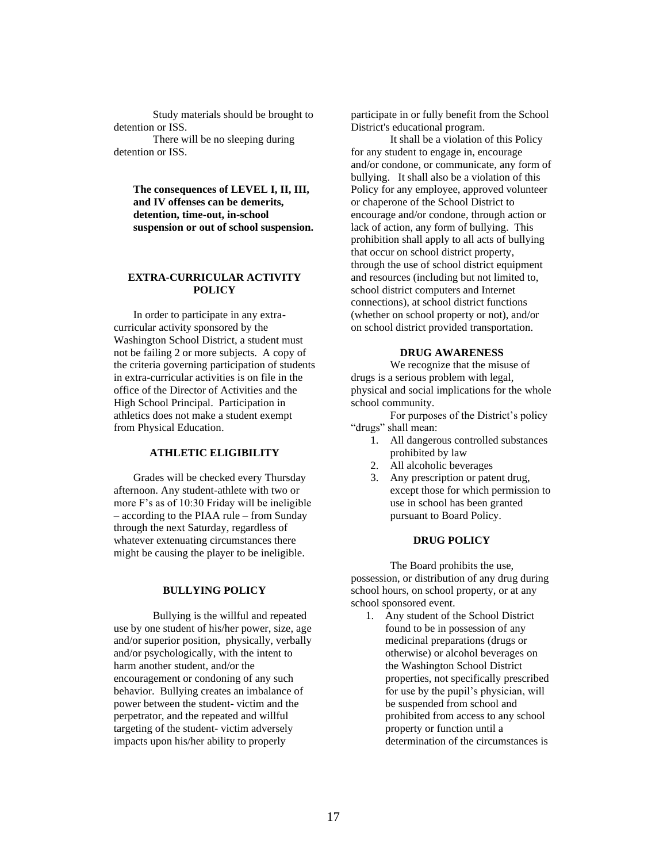Study materials should be brought to detention or ISS.

There will be no sleeping during detention or ISS.

> **The consequences of LEVEL I, II, III, and IV offenses can be demerits, detention, time-out, in-school suspension or out of school suspension.**

#### **EXTRA-CURRICULAR ACTIVITY POLICY**

In order to participate in any extracurricular activity sponsored by the Washington School District, a student must not be failing 2 or more subjects. A copy of the criteria governing participation of students in extra-curricular activities is on file in the office of the Director of Activities and the High School Principal. Participation in athletics does not make a student exempt from Physical Education.

# **ATHLETIC ELIGIBILITY**

Grades will be checked every Thursday afternoon. Any student-athlete with two or more F's as of 10:30 Friday will be ineligible – according to the PIAA rule – from Sunday through the next Saturday, regardless of whatever extenuating circumstances there might be causing the player to be ineligible.

### **BULLYING POLICY**

Bullying is the willful and repeated use by one student of his/her power, size, age and/or superior position, physically, verbally and/or psychologically, with the intent to harm another student, and/or the encouragement or condoning of any such behavior. Bullying creates an imbalance of power between the student- victim and the perpetrator, and the repeated and willful targeting of the student- victim adversely impacts upon his/her ability to properly

participate in or fully benefit from the School District's educational program.

It shall be a violation of this Policy for any student to engage in, encourage and/or condone, or communicate, any form of bullying. It shall also be a violation of this Policy for any employee, approved volunteer or chaperone of the School District to encourage and/or condone, through action or lack of action, any form of bullying. This prohibition shall apply to all acts of bullying that occur on school district property, through the use of school district equipment and resources (including but not limited to, school district computers and Internet connections), at school district functions (whether on school property or not), and/or on school district provided transportation.

#### **DRUG AWARENESS**

We recognize that the misuse of drugs is a serious problem with legal, physical and social implications for the whole school community.

For purposes of the District's policy "drugs" shall mean:

- 1. All dangerous controlled substances prohibited by law
- 2. All alcoholic beverages
- 3. Any prescription or patent drug, except those for which permission to use in school has been granted pursuant to Board Policy.

## **DRUG POLICY**

The Board prohibits the use, possession, or distribution of any drug during school hours, on school property, or at any school sponsored event.

1. Any student of the School District found to be in possession of any medicinal preparations (drugs or otherwise) or alcohol beverages on the Washington School District properties, not specifically prescribed for use by the pupil's physician, will be suspended from school and prohibited from access to any school property or function until a determination of the circumstances is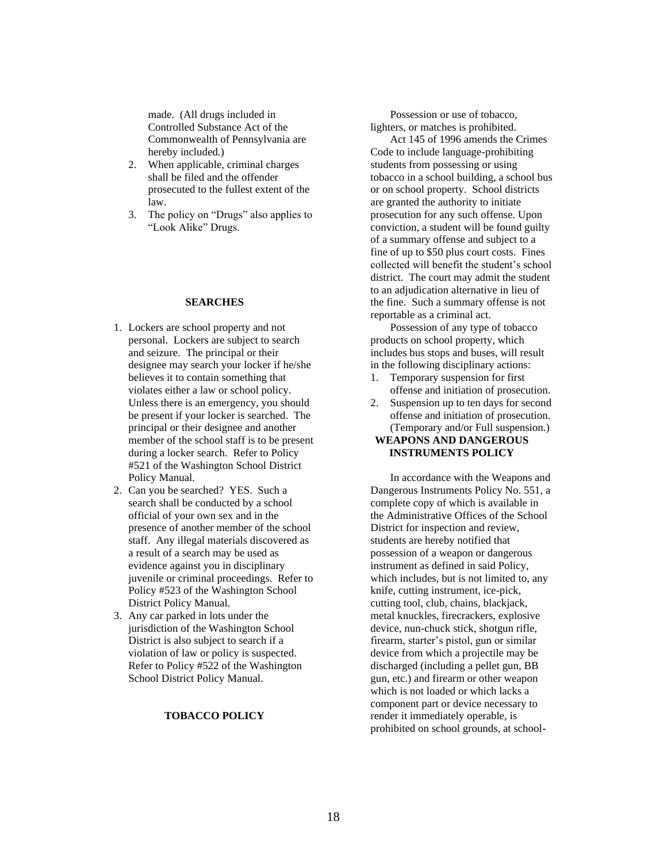made. (All drugs included in Controlled Substance Act of the Commonwealth of Pennsylvania are hereby included.)

- 2. When applicable, criminal charges shall be filed and the offender prosecuted to the fullest extent of the law.
- 3. The policy on "Drugs" also applies to "Look Alike" Drugs.

#### **SEARCHES**

- 1. Lockers are school property and not personal. Lockers are subject to search and seizure. The principal or their designee may search your locker if he/she believes it to contain something that violates either a law or school policy. Unless there is an emergency, you should be present if your locker is searched. The principal or their designee and another member of the school staff is to be present during a locker search. Refer to Policy #521 of the Washington School District Policy Manual.
- 2. Can you be searched? YES. Such a search shall be conducted by a school official of your own sex and in the presence of another member of the school staff. Any illegal materials discovered as a result of a search may be used as evidence against you in disciplinary juvenile or criminal proceedings. Refer to Policy #523 of the Washington School District Policy Manual.
- 3. Any car parked in lots under the jurisdiction of the Washington School District is also subject to search if a violation of law or policy is suspected. Refer to Policy #522 of the Washington School District Policy Manual.

#### **TOBACCO POLICY**

Possession or use of tobacco, lighters, or matches is prohibited.

Act 145 of 1996 amends the Crimes Code to include language-prohibiting students from possessing or using tobacco in a school building, a school bus or on school property. School districts are granted the authority to initiate prosecution for any such offense. Upon conviction, a student will be found guilty of a summary offense and subject to a fine of up to \$50 plus court costs. Fines collected will benefit the student's school district. The court may admit the student to an adjudication alternative in lieu of the fine. Such a summary offense is not reportable as a criminal act.

Possession of any type of tobacco products on school property, which includes bus stops and buses, will result in the following disciplinary actions:

- 1. Temporary suspension for first offense and initiation of prosecution.
- 2. Suspension up to ten days for second offense and initiation of prosecution. (Temporary and/or Full suspension.) **WEAPONS AND DANGEROUS INSTRUMENTS POLICY**

In accordance with the Weapons and Dangerous Instruments Policy No. 551, a complete copy of which is available in the Administrative Offices of the School District for inspection and review, students are hereby notified that possession of a weapon or dangerous instrument as defined in said Policy, which includes, but is not limited to, any knife, cutting instrument, ice-pick, cutting tool, club, chains, blackjack, metal knuckles, firecrackers, explosive device, nun-chuck stick, shotgun rifle, firearm, starter's pistol, gun or similar device from which a projectile may be discharged (including a pellet gun, BB gun, etc.) and firearm or other weapon which is not loaded or which lacks a component part or device necessary to render it immediately operable, is prohibited on school grounds, at school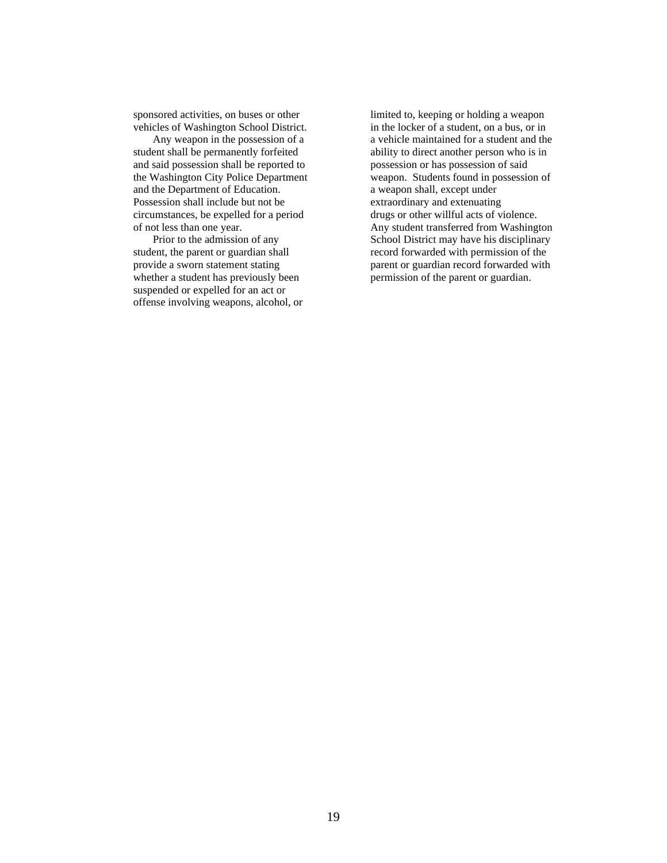sponsored activities, on buses or other vehicles of Washington School District.

Any weapon in the possession of a student shall be permanently forfeited and said possession shall be reported to the Washington City Police Department and the Department of Education. Possession shall include but not be circumstances, be expelled for a period of not less than one year.

Prior to the admission of any student, the parent or guardian shall provide a sworn statement stating whether a student has previously been suspended or expelled for an act or offense involving weapons, alcohol, or limited to, keeping or holding a weapon in the locker of a student, on a bus, or in a vehicle maintained for a student and the ability to direct another person who is in possession or has possession of said weapon. Students found in possession of a weapon shall, except under extraordinary and extenuating drugs or other willful acts of violence. Any student transferred from Washington School District may have his disciplinary record forwarded with permission of the parent or guardian record forwarded with permission of the parent or guardian.